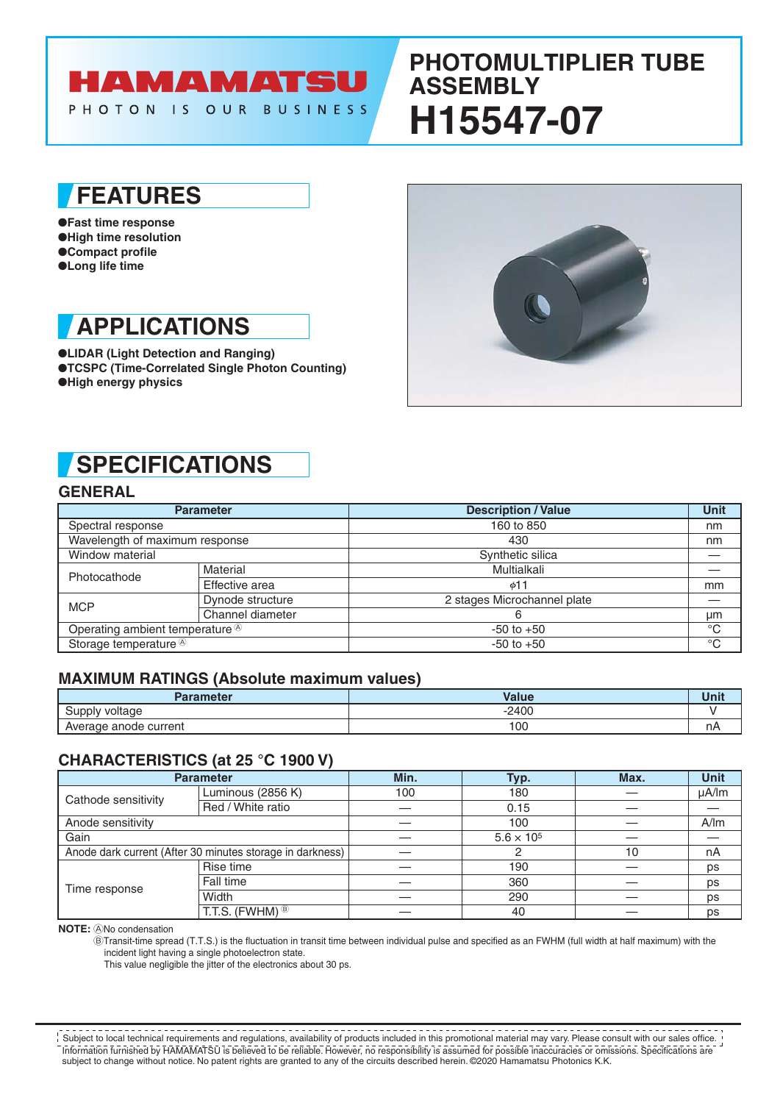### HAMAMATSU PHOTON IS OUR BUSINESS

# **PHOTOMULTIPLIER TUBE ASSEMBLY H15547-07**

## **FEATURES**

●**Fast time response** ●**High time resolution** ●**Compact profile** ●**Long life time**

# **APPLICATIONS**

●**LIDAR (Light Detection and Ranging)** ●**TCSPC (Time-Correlated Single Photon Counting)** ●**High energy physics**



# **SPECIFICATIONS**

### **GENERAL**

| <b>Parameter</b>                            |                  | <b>Description / Value</b>  | Unit        |
|---------------------------------------------|------------------|-----------------------------|-------------|
| Spectral response                           |                  | 160 to 850                  | nm          |
| Wavelength of maximum response              |                  | 430                         | nm          |
| Window material                             |                  | Synthetic silica            |             |
| Photocathode                                | Material         | Multialkali                 |             |
|                                             | Effective area   | ø11                         | mm          |
| <b>MCP</b>                                  | Dynode structure | 2 stages Microchannel plate |             |
|                                             | Channel diameter | 6                           | μm          |
| Operating ambient temperature <sup>®</sup>  |                  | $-50$ to $+50$              | $^{\circ}C$ |
| Storage temperature <sup><sup>®</sup></sup> |                  | $-50$ to $+50$              | $^{\circ}C$ |

#### **MAXIMUM RATINGS (Absolute maximum values)**

| <b>Parameter</b>      | Value   | טווט |
|-----------------------|---------|------|
| voltage<br>ınnlı      | $-2400$ |      |
| Average anode current | 100     | nА   |

### **CHARACTERISTICS (at 25 °C 1900 V)**

| <b>Parameter</b>                                          |                                   | Min. | Typ.                | Max. | <b>Unit</b> |
|-----------------------------------------------------------|-----------------------------------|------|---------------------|------|-------------|
| Cathode sensitivity                                       | Luminous (2856 K)                 | 100  | 180                 |      | $\mu$ A/lm  |
|                                                           | Red / White ratio                 |      | 0.15                |      |             |
| Anode sensitivity                                         |                                   |      | 100                 |      | A/m         |
| Gain                                                      |                                   |      | $5.6 \times 10^{5}$ |      |             |
| Anode dark current (After 30 minutes storage in darkness) |                                   |      |                     | 10   | nA          |
| Time response                                             | Rise time                         |      | 190                 |      | ps          |
|                                                           | Fall time                         |      | 360                 |      | ps          |
|                                                           | Width                             |      | 290                 |      | ps          |
|                                                           | T.T.S. (FWHM) $\overline{^{(8)}}$ |      | 40                  |      | ps          |

**NOTE:** ANo condensation

BTransit-time spread (T.T.S.) is the fluctuation in transit time between individual pulse and specified as an FWHM (full width at half maximum) with the incident light having a single photoelectron state.

This value negligible the jitter of the electronics about 30 ps.

Information furnished by HAMAMATSU is believed to be reliable. However, no responsibility is assumed for possible inaccuracies or omissions. Specifications are subject to change without notice. No patent rights are granted to any of the circuits described herein. ©2020 Hamamatsu Photonics K.K. Subject to local technical requirements and regulations, availability of products included in this promotional material may vary. Please consult with our sales office.<br>Subject to local technical requirements and regulation